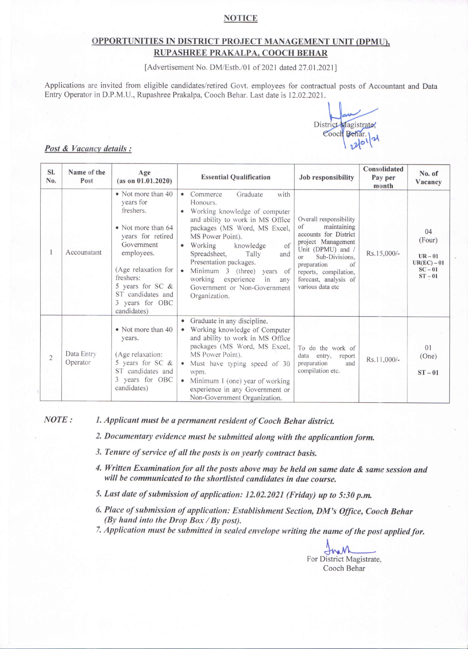### **NOTICE**

# OPPORTUNITIES IN DISTRICT PROJECT MANAGEMENT UNIT (DPMU), RUPASHREE PRAKALPA, COOCH BEHAR

[Advertisement No. DM/Estb./01 of 2021 dated 27.01.2021]

Applications are invited from eligible candidates/retired Govt. employees for contractual posts of Accountant and Data Entry Operator in D.P.M.U., Rupashree Prakalpa, Cooch Behar. Last date is 12.02.2021.

District Magistrate, Cooch Behar.

#### Post & Vacancy details :

| SI.<br>No.     | Name of the<br>Post    | Age<br>(as on 01.01.2020)                                                                                                                                                                                                          | <b>Essential Qualification</b><br><b>Job responsibility</b>                                                                                                                                                                                                                                                                                                                                                                                                                                                                                                                                                                    | Consolidated<br>Pay per<br>month | No. of<br>Vacancy                                                  |
|----------------|------------------------|------------------------------------------------------------------------------------------------------------------------------------------------------------------------------------------------------------------------------------|--------------------------------------------------------------------------------------------------------------------------------------------------------------------------------------------------------------------------------------------------------------------------------------------------------------------------------------------------------------------------------------------------------------------------------------------------------------------------------------------------------------------------------------------------------------------------------------------------------------------------------|----------------------------------|--------------------------------------------------------------------|
|                | Accounatant            | • Not more than 40<br>years for<br>freshers.<br>• Not more than 64<br>years for retired<br>Government<br>employees.<br>(Age relaxation for<br>freshers:<br>5 years for SC &<br>ST candidates and<br>3 years for OBC<br>candidates) | with<br>Commerce<br>Graduate<br>Honours.<br>Working knowledge of computer<br>$\bullet$<br>Overall responsibility<br>and ability to work in MS Office<br>maintaining<br>$\sigma$<br>packages (MS Word, MS Excel,<br>accounts for District<br>MS Power Point).<br>project Management<br>of<br>Working<br>knowledge<br>Unit (DPMU) and /<br>Spreadsheet,<br>Tally<br>and<br>Sub-Divisions.<br>or<br>Presentation packages.<br>preparation<br>Minimum 3 (three) years of<br>reports, compilation,<br>working experience<br>in<br>forecast, analysis of<br>any<br>various data etc<br>Government or Non-Government<br>Organization. | Rs.15,000/-<br>$\sigma$ f        | 04<br>(Four)<br>$UR-01$<br>$UR(EC) - 01$<br>$SC - 01$<br>$ST - 01$ |
| $\overline{2}$ | Data Entry<br>Operator | • Not more than 40<br>years.<br>(Age relaxation:<br>5 years for SC &<br>ST candidates and<br>3 years for OBC<br>candidates)                                                                                                        | • Graduate in any discipline.<br>Working knowledge of Computer<br>and ability to work in MS Office<br>packages (MS Word, MS Excel,<br>To do the work of<br>MS Power Point).<br>data entry,<br>Must have typing speed of 30<br>preparation<br>compilation etc.<br>wpm.<br>Minimum 1 (one) year of working<br>experience in any Government or<br>Non-Government Organization.                                                                                                                                                                                                                                                    | report<br>Rs.11,000/-<br>and     | 0 <sub>1</sub><br>(One)<br>$ST-01$                                 |

NOTE:

1. Applicant must be a permanent resident of Cooch Behar district.

2. Documentary evidence must be submitted along with the applicantion form.

- 3. Tenure of service of all the posts is on yearly contract basis.
- 4. Written Examination for all the posts above may be held on same date & same session and will be communicated to the shortlisted candidates in due course.
- 5. Last date of submission of application: 12.02.2021 (Friday) up to 5:30 p.m.
- 6. Place of submission of application: Establishment Section, DM's Office, Cooch Behar (By hand into the Drop Box / By post).
- 7. Application must be submitted in sealed envelope writing the name of the post applied for.

Inan For District Magistrate, Cooch Behar